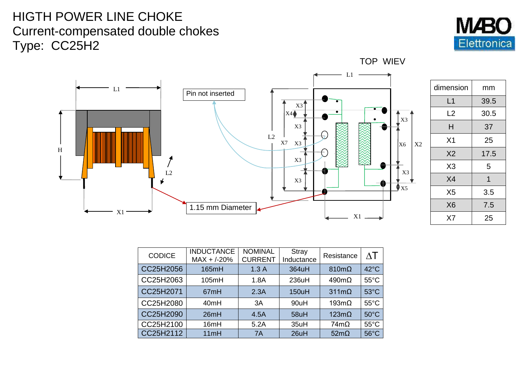## HIGTH POWER LINE CHOKE Current-compensated double chokes Type: CC25H2





| dimension      | mm   |
|----------------|------|
| L1             | 39.5 |
| L2             | 30.5 |
| н              | 37   |
| X <sub>1</sub> | 25   |
| X <sub>2</sub> | 17.5 |
| X <sub>3</sub> | 5    |
| X <sub>4</sub> | 1    |
| X <sub>5</sub> | 3.5  |
| X <sub>6</sub> | 7.5  |
| X7             | 25   |

TOP WIEV

| <b>CODICE</b> | <b>INDUCTANCE</b><br>$MAX + / -20%$ | <b>NOMINAL</b><br><b>CURRENT</b> | <b>Stray</b><br>Inductance | Resistance           | $\wedge\top$   |
|---------------|-------------------------------------|----------------------------------|----------------------------|----------------------|----------------|
| CC25H2056     | 165mH                               | 1.3A                             | 364uH                      | $810 \text{m}\Omega$ | $42^{\circ}$ C |
| CC25H2063     | 105mH                               | 1.8A                             | 236uH                      | $490 \text{m}\Omega$ | $55^{\circ}$ C |
| CC25H2071     | 67mH                                | 2.3A                             | 150uH                      | $311 \text{m}\Omega$ | $53^{\circ}$ C |
| CC25H2080     | 40mH                                | 3A                               | 90uH                       | $193 \text{m}\Omega$ | $55^{\circ}$ C |
| CC25H2090     | 26mH                                | 4.5A                             | 58uH                       | $123m\Omega$         | $50^{\circ}$ C |
| CC25H2100     | 16mH                                | 5.2A                             | 35uH                       | $74m\Omega$          | $55^{\circ}$ C |
| CC25H2112     | 11mH                                | 7A                               | 26uH                       | $52m\Omega$          | $56^{\circ}$ C |